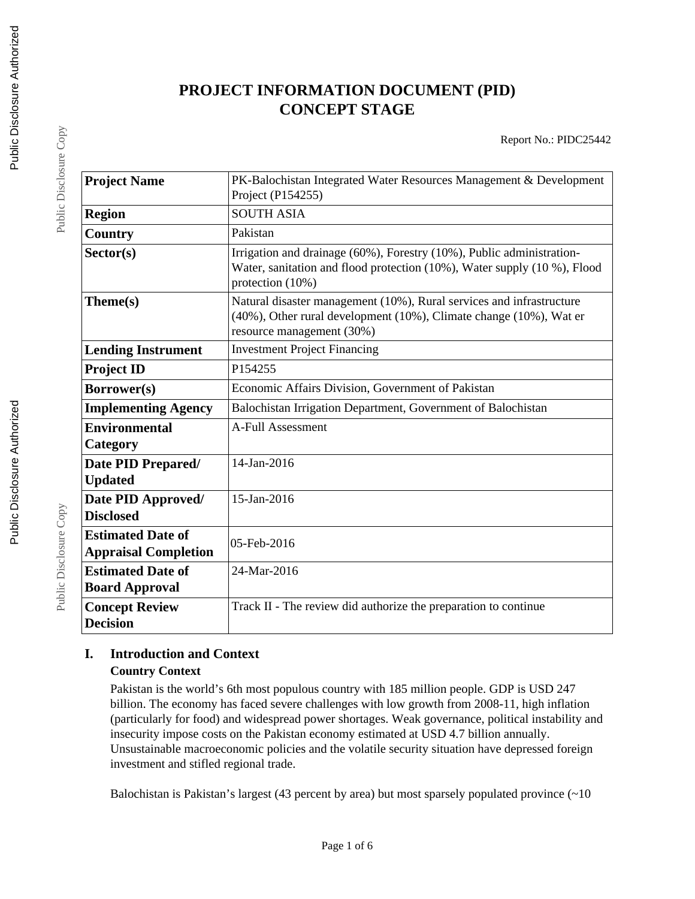# **PROJECT INFORMATION DOCUMENT (PID) CONCEPT STAGE**

Report No.: PIDC25442

| <b>Project Name</b>                                     | PK-Balochistan Integrated Water Resources Management & Development<br>Project (P154255)                                                                                 |
|---------------------------------------------------------|-------------------------------------------------------------------------------------------------------------------------------------------------------------------------|
| <b>Region</b>                                           | <b>SOUTH ASIA</b>                                                                                                                                                       |
| Country                                                 | Pakistan                                                                                                                                                                |
| Sector(s)                                               | Irrigation and drainage (60%), Forestry (10%), Public administration-<br>Water, sanitation and flood protection (10%), Water supply (10 %), Flood<br>protection (10%)   |
| Theme(s)                                                | Natural disaster management (10%), Rural services and infrastructure<br>(40%), Other rural development (10%), Climate change (10%), Wat er<br>resource management (30%) |
| <b>Lending Instrument</b>                               | <b>Investment Project Financing</b>                                                                                                                                     |
| <b>Project ID</b>                                       | P154255                                                                                                                                                                 |
| Borrower(s)                                             | Economic Affairs Division, Government of Pakistan                                                                                                                       |
| <b>Implementing Agency</b>                              | Balochistan Irrigation Department, Government of Balochistan                                                                                                            |
| <b>Environmental</b><br>Category                        | <b>A-Full Assessment</b>                                                                                                                                                |
| Date PID Prepared/<br><b>Updated</b>                    | 14-Jan-2016                                                                                                                                                             |
| Date PID Approved/<br><b>Disclosed</b>                  | 15-Jan-2016                                                                                                                                                             |
| <b>Estimated Date of</b><br><b>Appraisal Completion</b> | 05-Feb-2016                                                                                                                                                             |
| <b>Estimated Date of</b><br><b>Board Approval</b>       | 24-Mar-2016                                                                                                                                                             |
| <b>Concept Review</b><br><b>Decision</b>                | Track II - The review did authorize the preparation to continue                                                                                                         |

# **I. Introduction and Context**

### **Country Context**

Pakistan is the world's 6th most populous country with 185 million people. GDP is USD 247 billion. The economy has faced severe challenges with low growth from 2008-11, high inflation (particularly for food) and widespread power shortages. Weak governance, political instability and insecurity impose costs on the Pakistan economy estimated at USD 4.7 billion annually. Unsustainable macroeconomic policies and the volatile security situation have depressed foreign investment and stifled regional trade.

Balochistan is Pakistan's largest (43 percent by area) but most sparsely populated province  $($  ~10

Public Disclosure Copy

Public Disclosure Copy

Public Disclosure Copy

Public Disclosure Copy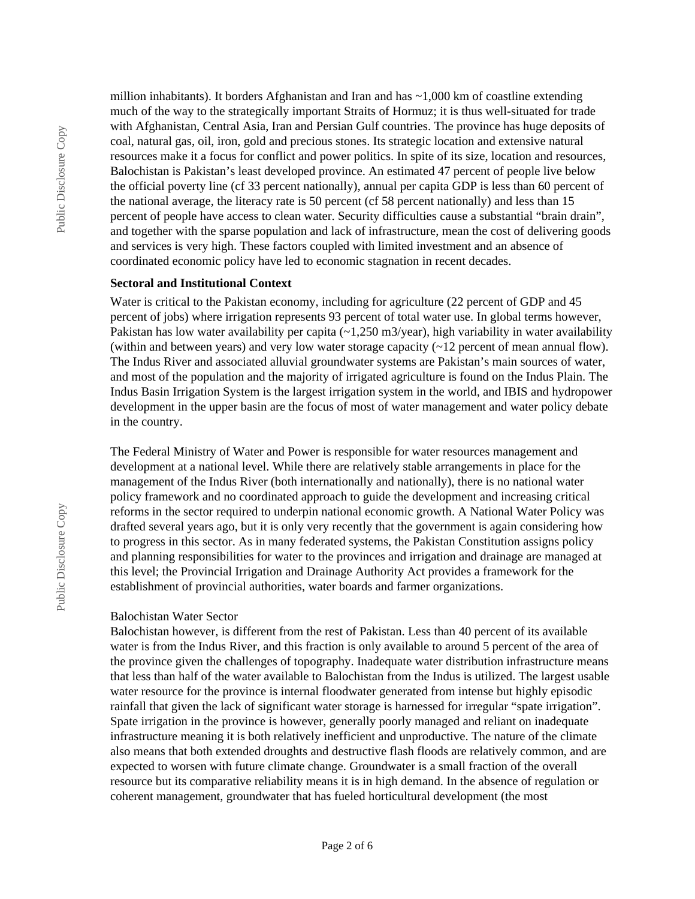million inhabitants). It borders Afghanistan and Iran and has  $\sim$  1,000 km of coastline extending much of the way to the strategically important Straits of Hormuz; it is thus well-situated for trade with Afghanistan, Central Asia, Iran and Persian Gulf countries. The province has huge deposits of coal, natural gas, oil, iron, gold and precious stones. Its strategic location and extensive natural resources make it a focus for conflict and power politics. In spite of its size, location and resources, Balochistan is Pakistan's least developed province. An estimated 47 percent of people live below the official poverty line (cf 33 percent nationally), annual per capita GDP is less than 60 percent of the national average, the literacy rate is 50 percent (cf 58 percent nationally) and less than 15 percent of people have access to clean water. Security difficulties cause a substantial "brain drain", and together with the sparse population and lack of infrastructure, mean the cost of delivering goods and services is very high. These factors coupled with limited investment and an absence of coordinated economic policy have led to economic stagnation in recent decades.

#### **Sectoral and Institutional Context**

Water is critical to the Pakistan economy, including for agriculture (22 percent of GDP and 45 percent of jobs) where irrigation represents 93 percent of total water use. In global terms however, Pakistan has low water availability per capita (~1,250 m3/year), high variability in water availability (within and between years) and very low water storage capacity (~12 percent of mean annual flow). The Indus River and associated alluvial groundwater systems are Pakistan's main sources of water, and most of the population and the majority of irrigated agriculture is found on the Indus Plain. The Indus Basin Irrigation System is the largest irrigation system in the world, and IBIS and hydropower development in the upper basin are the focus of most of water management and water policy debate in the country.

The Federal Ministry of Water and Power is responsible for water resources management and development at a national level. While there are relatively stable arrangements in place for the management of the Indus River (both internationally and nationally), there is no national water policy framework and no coordinated approach to guide the development and increasing critical reforms in the sector required to underpin national economic growth. A National Water Policy was drafted several years ago, but it is only very recently that the government is again considering how to progress in this sector. As in many federated systems, the Pakistan Constitution assigns policy and planning responsibilities for water to the provinces and irrigation and drainage are managed at this level; the Provincial Irrigation and Drainage Authority Act provides a framework for the establishment of provincial authorities, water boards and farmer organizations.

#### Balochistan Water Sector

Balochistan however, is different from the rest of Pakistan. Less than 40 percent of its available water is from the Indus River, and this fraction is only available to around 5 percent of the area of the province given the challenges of topography. Inadequate water distribution infrastructure means that less than half of the water available to Balochistan from the Indus is utilized. The largest usable water resource for the province is internal floodwater generated from intense but highly episodic rainfall that given the lack of significant water storage is harnessed for irregular "spate irrigation". Spate irrigation in the province is however, generally poorly managed and reliant on inadequate infrastructure meaning it is both relatively inefficient and unproductive. The nature of the climate also means that both extended droughts and destructive flash floods are relatively common, and are expected to worsen with future climate change. Groundwater is a small fraction of the overall resource but its comparative reliability means it is in high demand. In the absence of regulation or coherent management, groundwater that has fueled horticultural development (the most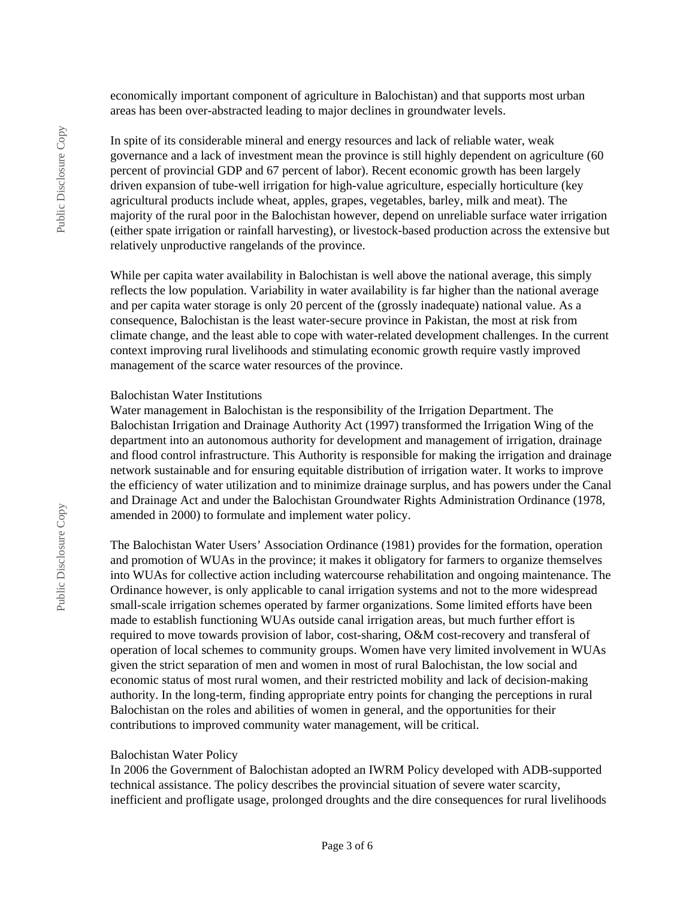economically important component of agriculture in Balochistan) and that supports most urban areas has been over-abstracted leading to major declines in groundwater levels.

In spite of its considerable mineral and energy resources and lack of reliable water, weak governance and a lack of investment mean the province is still highly dependent on agriculture (60 percent of provincial GDP and 67 percent of labor). Recent economic growth has been largely driven expansion of tube-well irrigation for high-value agriculture, especially horticulture (key agricultural products include wheat, apples, grapes, vegetables, barley, milk and meat). The majority of the rural poor in the Balochistan however, depend on unreliable surface water irrigation (either spate irrigation or rainfall harvesting), or livestock-based production across the extensive but relatively unproductive rangelands of the province.

While per capita water availability in Balochistan is well above the national average, this simply reflects the low population. Variability in water availability is far higher than the national average and per capita water storage is only 20 percent of the (grossly inadequate) national value. As a consequence, Balochistan is the least water-secure province in Pakistan, the most at risk from climate change, and the least able to cope with water-related development challenges. In the current context improving rural livelihoods and stimulating economic growth require vastly improved management of the scarce water resources of the province.

#### Balochistan Water Institutions

Water management in Balochistan is the responsibility of the Irrigation Department. The Balochistan Irrigation and Drainage Authority Act (1997) transformed the Irrigation Wing of the department into an autonomous authority for development and management of irrigation, drainage and flood control infrastructure. This Authority is responsible for making the irrigation and drainage network sustainable and for ensuring equitable distribution of irrigation water. It works to improve the efficiency of water utilization and to minimize drainage surplus, and has powers under the Canal and Drainage Act and under the Balochistan Groundwater Rights Administration Ordinance (1978, amended in 2000) to formulate and implement water policy.

The Balochistan Water Users' Association Ordinance (1981) provides for the formation, operation and promotion of WUAs in the province; it makes it obligatory for farmers to organize themselves into WUAs for collective action including watercourse rehabilitation and ongoing maintenance. The Ordinance however, is only applicable to canal irrigation systems and not to the more widespread small-scale irrigation schemes operated by farmer organizations. Some limited efforts have been made to establish functioning WUAs outside canal irrigation areas, but much further effort is required to move towards provision of labor, cost-sharing, O&M cost-recovery and transferal of operation of local schemes to community groups. Women have very limited involvement in WUAs given the strict separation of men and women in most of rural Balochistan, the low social and economic status of most rural women, and their restricted mobility and lack of decision-making authority. In the long-term, finding appropriate entry points for changing the perceptions in rural Balochistan on the roles and abilities of women in general, and the opportunities for their contributions to improved community water management, will be critical.

#### Balochistan Water Policy

In 2006 the Government of Balochistan adopted an IWRM Policy developed with ADB-supported technical assistance. The policy describes the provincial situation of severe water scarcity, inefficient and profligate usage, prolonged droughts and the dire consequences for rural livelihoods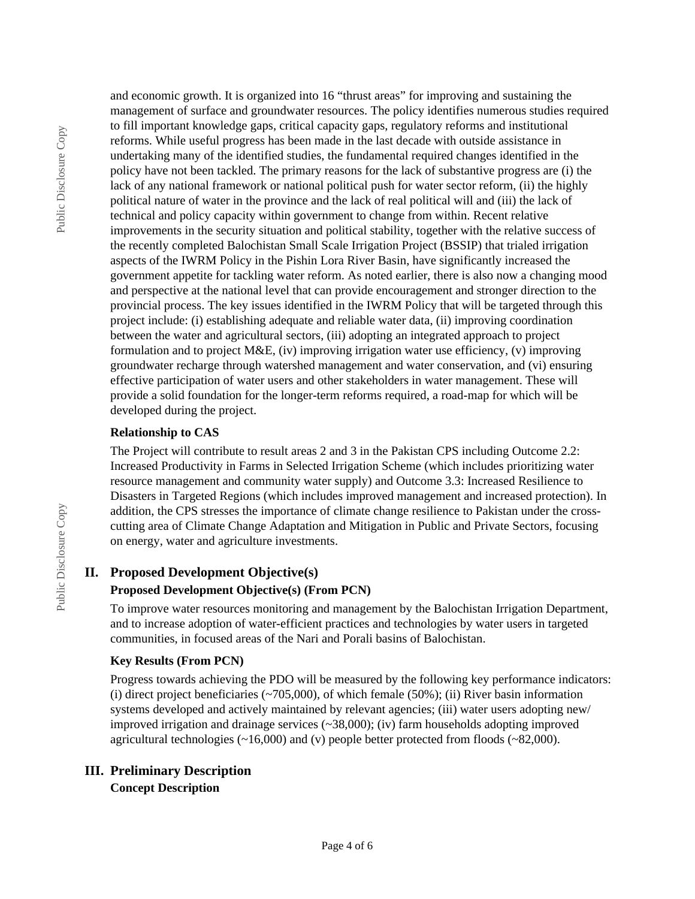and economic growth. It is organized into 16 "thrust areas" for improving and sustaining the management of surface and groundwater resources. The policy identifies numerous studies required to fill important knowledge gaps, critical capacity gaps, regulatory reforms and institutional reforms. While useful progress has been made in the last decade with outside assistance in undertaking many of the identified studies, the fundamental required changes identified in the policy have not been tackled. The primary reasons for the lack of substantive progress are (i) the lack of any national framework or national political push for water sector reform, (ii) the highly political nature of water in the province and the lack of real political will and (iii) the lack of technical and policy capacity within government to change from within. Recent relative improvements in the security situation and political stability, together with the relative success of the recently completed Balochistan Small Scale Irrigation Project (BSSIP) that trialed irrigation aspects of the IWRM Policy in the Pishin Lora River Basin, have significantly increased the government appetite for tackling water reform. As noted earlier, there is also now a changing mood and perspective at the national level that can provide encouragement and stronger direction to the provincial process. The key issues identified in the IWRM Policy that will be targeted through this project include: (i) establishing adequate and reliable water data, (ii) improving coordination between the water and agricultural sectors, (iii) adopting an integrated approach to project formulation and to project M&E, (iv) improving irrigation water use efficiency, (v) improving groundwater recharge through watershed management and water conservation, and (vi) ensuring effective participation of water users and other stakeholders in water management. These will provide a solid foundation for the longer-term reforms required, a road-map for which will be developed during the project.

#### **Relationship to CAS**

The Project will contribute to result areas 2 and 3 in the Pakistan CPS including Outcome 2.2: Increased Productivity in Farms in Selected Irrigation Scheme (which includes prioritizing water resource management and community water supply) and Outcome 3.3: Increased Resilience to Disasters in Targeted Regions (which includes improved management and increased protection). In addition, the CPS stresses the importance of climate change resilience to Pakistan under the crosscutting area of Climate Change Adaptation and Mitigation in Public and Private Sectors, focusing on energy, water and agriculture investments.

### **II. Proposed Development Objective(s)**

#### **Proposed Development Objective(s) (From PCN)**

To improve water resources monitoring and management by the Balochistan Irrigation Department, and to increase adoption of water-efficient practices and technologies by water users in targeted communities, in focused areas of the Nari and Porali basins of Balochistan.

#### **Key Results (From PCN)**

Progress towards achieving the PDO will be measured by the following key performance indicators: (i) direct project beneficiaries  $\left(\frac{20}{500}\right)$ , of which female (50%); (ii) River basin information systems developed and actively maintained by relevant agencies; (iii) water users adopting new/ improved irrigation and drainage services (~38,000); (iv) farm households adopting improved agricultural technologies (~16,000) and (v) people better protected from floods (~82,000).

### **III. Preliminary Description**

**Concept Description**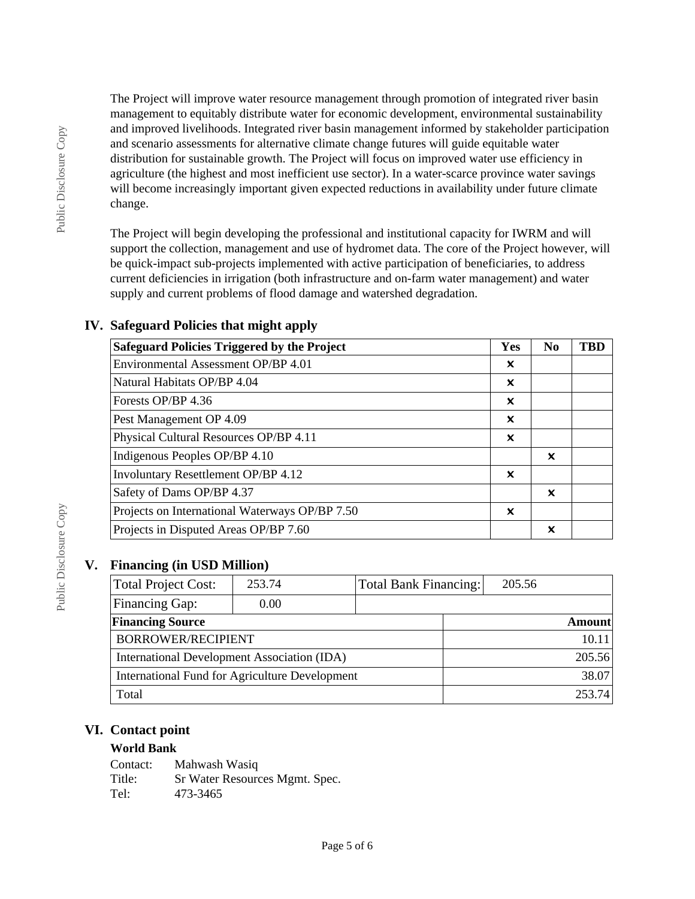The Project will improve water resource management through promotion of integrated river basin management to equitably distribute water for economic development, environmental sustainability and improved livelihoods. Integrated river basin management informed by stakeholder participation and scenario assessments for alternative climate change futures will guide equitable water distribution for sustainable growth. The Project will focus on improved water use efficiency in agriculture (the highest and most inefficient use sector). In a water-scarce province water savings will become increasingly important given expected reductions in availability under future climate change.

The Project will begin developing the professional and institutional capacity for IWRM and will support the collection, management and use of hydromet data. The core of the Project however, will be quick-impact sub-projects implemented with active participation of beneficiaries, to address current deficiencies in irrigation (both infrastructure and on-farm water management) and water supply and current problems of flood damage and watershed degradation.

| <b>Safeguard Policies Triggered by the Project</b> | Yes | N <sub>0</sub> | <b>TBD</b> |
|----------------------------------------------------|-----|----------------|------------|
| Environmental Assessment OP/BP 4.01                | x   |                |            |
| Natural Habitats OP/BP 4.04                        | ×   |                |            |
| Forests OP/BP 4.36                                 | ×   |                |            |
| Pest Management OP 4.09                            | x   |                |            |
| Physical Cultural Resources OP/BP 4.11             | ×   |                |            |
| Indigenous Peoples OP/BP 4.10                      |     | ×              |            |
| <b>Involuntary Resettlement OP/BP 4.12</b>         | ×   |                |            |
| Safety of Dams OP/BP 4.37                          |     | ×              |            |
| Projects on International Waterways OP/BP 7.50     | ×   |                |            |
| Projects in Disputed Areas OP/BP 7.60              |     | ×              |            |

### **IV. Safeguard Policies that might apply**

### **V. Financing (in USD Million)**

| <b>Total Project Cost:</b>                     | 253.74 | Total Bank Financing: | 205.56 |               |
|------------------------------------------------|--------|-----------------------|--------|---------------|
| <b>Financing Gap:</b>                          | 0.00   |                       |        |               |
| <b>Financing Source</b>                        |        |                       |        | <b>Amount</b> |
| <b>BORROWER/RECIPIENT</b>                      |        |                       |        | 10.11         |
| International Development Association (IDA)    |        |                       | 205.56 |               |
| International Fund for Agriculture Development |        |                       |        | 38.07         |
| Total                                          |        |                       |        | 253.74        |

### **VI. Contact point**

### **World Bank**

| Contact: | Mahwash Wasiq                  |
|----------|--------------------------------|
| Title:   | Sr Water Resources Mgmt. Spec. |
| Tel:     | 473-3465                       |